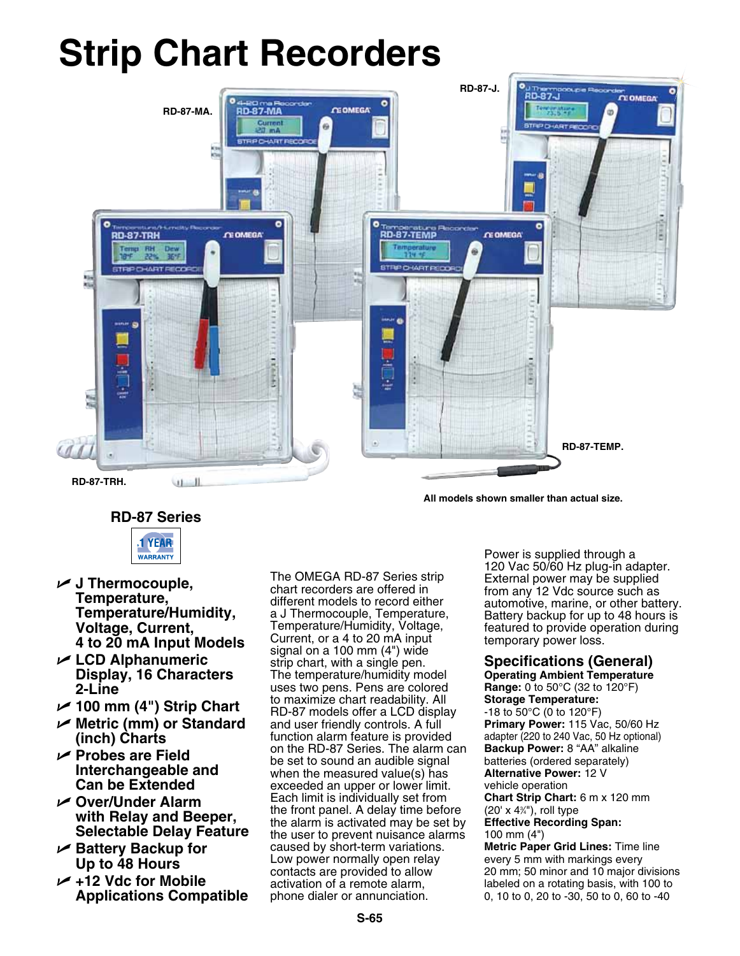# **Strip Chart Recorders**



**All models shown smaller than actual size.**

## **RD-87 Series**



- U **J Thermocouple, Temperature, Temperature/Humidity, Voltage, Current, 4 to 20 mA Input Models**
- U **LCD Alphanumeric Display, 16 Characters 2-Line**
- U **100 mm (4") Strip Chart**
- U **Metric (mm) or Standard (inch) Charts**
- U **Probes are Field Interchangeable and Can be Extended**
- U **Over/Under Alarm with Relay and Beeper, Selectable Delay Feature**
- U **Battery Backup for Up to 48 Hours**
- U **+12 Vdc for Mobile Applications Compatible**

The OMEGA RD-87 Series strip chart recorders are offered in different models to record either a J Thermocouple, Temperature, Temperature/Humidity, Voltage, Current, or a 4 to 20 mA input signal on a 100 mm (4") wide strip chart, with a single pen. The temperature/humidity model uses two pens. Pens are colored to maximize chart readability. All RD-87 models offer a LCD display and user friendly controls. A full function alarm feature is provided on the RD-87 Series. The alarm can be set to sound an audible signal when the measured value(s) has exceeded an upper or lower limit. Each limit is individually set from the front panel. A delay time before the alarm is activated may be set by the user to prevent nuisance alarms caused by short-term variations. Low power normally open relay contacts are provided to allow activation of a remote alarm, phone dialer or annunciation.

Power is supplied through a 120 Vac 50/60 Hz plug-in adapter. External power may be supplied from any 12 Vdc source such as automotive, marine, or other battery. Battery backup for up to 48 hours is featured to provide operation during temporary power loss.

## **Specifications (General)**

**Operating Ambient Temperature Range:** 0 to 50°C (32 to 120°F) **Storage Temperature:** -18 to 50°C (0 to 120°F) **Primary Power:** 115 Vac, 50/60 Hz adapter (220 to 240 Vac, 50 Hz optional) **Backup Power:** 8 "AA" alkaline batteries (ordered separately) **Alternative Power:** 12 V vehicle operation **Chart Strip Chart:** 6 m x 120 mm (20' x 43 ⁄4"), roll type **Effective Recording Span:** 100 mm (4") **Metric Paper Grid Lines:** Time line every 5 mm with markings every

20 mm; 50 minor and 10 major divisions labeled on a rotating basis, with 100 to 0, 10 to 0, 20 to -30, 50 to 0, 60 to -40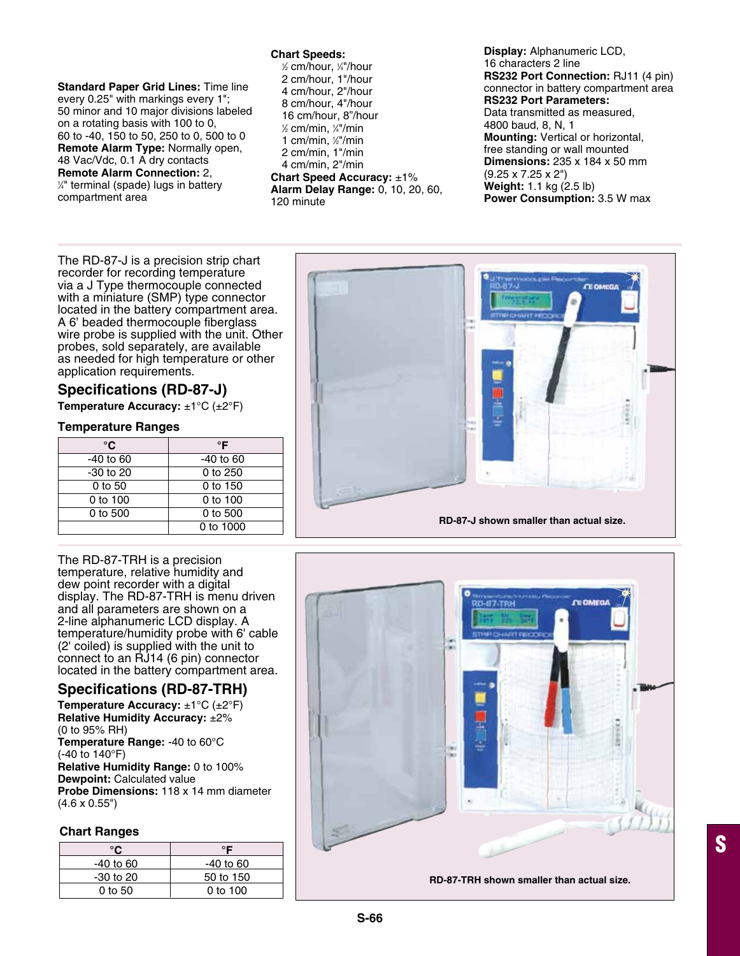#### **Chart Speeds:**

**Standard Paper Grid Lines:** Time line every 0.25" with markings every 1"; 50 minor and 10 major divisions labeled on a rotating basis with 100 to 0, 60 to -40, 150 to 50, 250 to 0, 500 to 0 **Remote Alarm Type:** Normally open, 48 Vac/Vdc, 0.1 A dry contacts **Remote Alarm Connection: 2,**  $\frac{1}{4}$ " terminal (spade) lugs in battery compartment area

1 ⁄2 cm/hour, 1 ⁄4"/hour 2 cm/hour, 1"/hour 4 cm/hour, 2"/hour 8 cm/hour, 4"/hour 16 cm/hour, 8"/hour 1 ⁄2 cm/min, 1 ⁄4"/min 1 cm/min, ½"/min 2 cm/min, 1"/min 4 cm/min, 2"/min

**Chart Speed Accuracy:** ±1% **Alarm Delay Range:** 0, 10, 20, 60, 120 minute

**Display:** Alphanumeric LCD, 16 characters 2 line **RS232 Port Connection:** RJ11 (4 pin) connector in battery compartment area **RS232 Port Parameters:** Data transmitted as measured, 4800 baud, 8, N, 1 **Mounting:** Vertical or horizontal, free standing or wall mounted **Dimensions:** 235 x 184 x 50 mm (9.25 x 7.25 x 2") **Weight:** 1.1 kg (2.5 lb) **Power Consumption:** 3.5 W max

The RD-87-J is a precision strip chart recorder for recording temperature via a J Type thermocouple connected with a miniature (SMP) type connector located in the battery compartment area. A 6' beaded thermocouple fiberglass wire probe is supplied with the unit. Other probes, sold separately, are available as needed for high temperature or other application requirements.

## **Specifications (RD-87-J)**

**Temperature Accuracy:** ±1°C (±2°F)

## **Temperature Ranges**

| °C          | °F          |
|-------------|-------------|
| $-40$ to 60 | $-40$ to 60 |
| -30 to 20   | 0 to 250    |
| $0$ to 50   | 0 to 150    |
| 0 to 100    | $0$ to 100  |
| 0 to 500    | 0 to 500    |
|             | 0 to 1000   |

The RD-87-TRH is a precision temperature, relative humidity and dew point recorder with a digital display. The RD-87-TRH is menu driven and all parameters are shown on a 2-line alphanumeric LCD display. A temperature/humidity probe with 6' cable (2' coiled) is supplied with the unit to connect to an RJ14 (6 pin) connector located in the battery compartment area.

## **Specifications (RD-87-TRH)**

**Temperature Accuracy:** ±1°C (±2°F) **Relative Humidity Accuracy:** ±2% (0 to 95% RH) **Temperature Range:** -40 to 60°C (-40 to 140°F) **Relative Humidity Range:** 0 to 100% **Dewpoint:** Calculated value **Probe Dimensions:** 118 x 14 mm diameter (4.6 x 0.55")

## **Chart Ranges**

| $-40$ to 60   | -40 to 60  |
|---------------|------------|
| $-30$ to $20$ | 50 to 150  |
| 0 to 50       | $0$ to 100 |